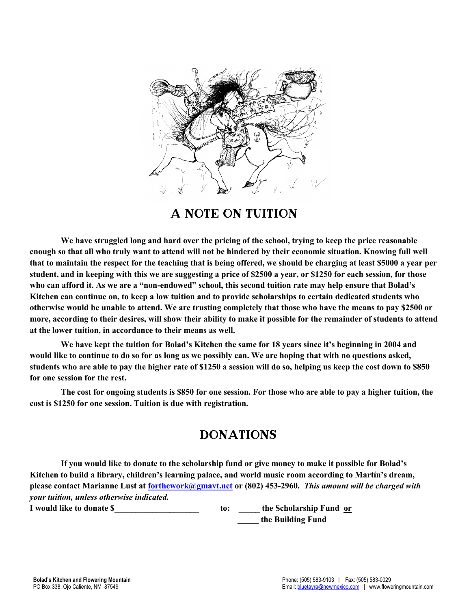

A Note on Tuition

**We have struggled long and hard over the pricing of the school, trying to keep the price reasonable enough so that all who truly want to attend will not be hindered by their economic situation. Knowing full well that to maintain the respect for the teaching that is being offered, we should be charging at least \$5000 a year per student, and in keeping with this we are suggesting a price of \$2500 a year, or \$1250 for each session, for those who can afford it. As we are a "non-endowed" school, this second tuition rate may help ensure that Bolad's Kitchen can continue on, to keep a low tuition and to provide scholarships to certain dedicated students who otherwise would be unable to attend. We are trusting completely that those who have the means to pay \$2500 or more, according to their desires, will show their ability to make it possible for the remainder of students to attend at the lower tuition, in accordance to their means as well.**

**We have kept the tuition for Bolad's Kitchen the same for 18 years since it's beginning in 2004 and would like to continue to do so for as long as we possibly can. We are hoping that with no questions asked, students who are able to pay the higher rate of \$1250 a session will do so, helping us keep the cost down to \$850 for one session for the rest.**

**The cost for ongoing students is \$850 for one session. For those who are able to pay a higher tuition, the cost is \$1250 for one session. Tuition is due with registration.**

## **DONATIONS**

**If you would like to donate to the scholarship fund or give money to make it possible for Bolad's Kitchen to build a library, children's learning palace, and world music room according to Martín's dream, please contact Marianne Lust at forthework@gmavt.net or (802) 453-2960.** *This amount will be charged with your tuition, unless otherwise indicated.*

**I** would like to donate \$ The Scholarship Fund or **the Scholarship Fund or**  $\alpha$  **\_\_\_\_\_ the Building Fund**